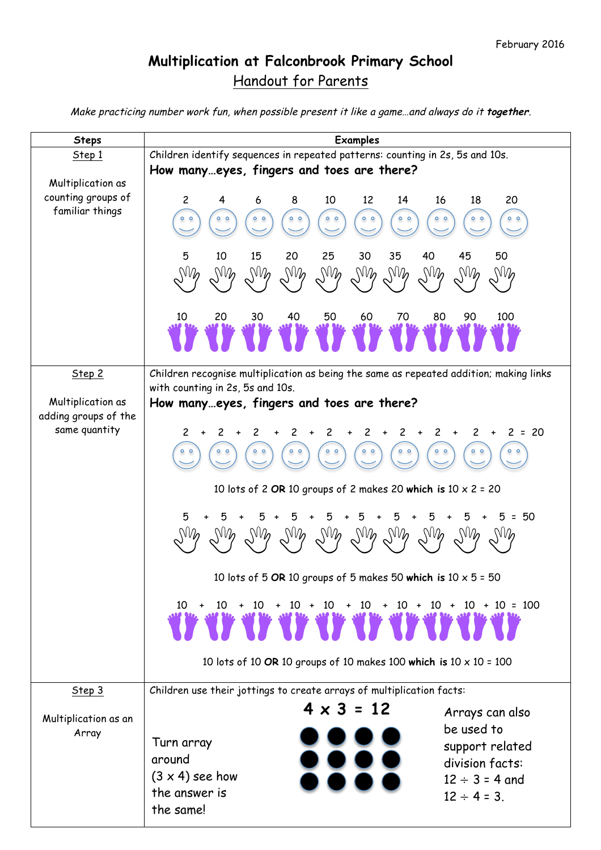## **Multiplication at Falconbrook Primary School** Handout for Parents

Make practicing number work fun, when possible present it like a game…and always do it **together**.

| <b>Steps</b>                                               | <b>Examples</b>                                                                                                                                                                                                                                                                          |  |  |  |  |  |  |
|------------------------------------------------------------|------------------------------------------------------------------------------------------------------------------------------------------------------------------------------------------------------------------------------------------------------------------------------------------|--|--|--|--|--|--|
| Step 1                                                     | Children identify sequences in repeated patterns: counting in 2s, 5s and 10s.                                                                                                                                                                                                            |  |  |  |  |  |  |
|                                                            | How manyeyes, fingers and toes are there?                                                                                                                                                                                                                                                |  |  |  |  |  |  |
| Multiplication as<br>counting groups of<br>familiar things | 10<br>14<br>8<br>12<br>16<br>18<br>20<br>$\mathbf{2}$<br>4<br>6<br>$^{\circ}$<br>$^{\circ}$<br>$^{\circ}$<br>$^{\circ}$<br>$\circ$<br>$^{\circ}$<br>$^{\circ}$<br>$^{\circ}$<br>$^{\circ}$<br>35<br>40<br>45<br>10<br>15<br>20<br>25<br>30<br>50<br>5                                    |  |  |  |  |  |  |
|                                                            | $W_{\nu}$<br>$W_{\boldsymbol{\rho}}$<br>$W_{\boldsymbol{\rho}}$<br>$W_{\boldsymbol{\rho}}$<br>$W_{\nu}$<br>$W_{\nu}$<br>$W_{\boldsymbol{\rho}}$<br>$\mathbb{W}_{\!o}$<br>$W_{\boldsymbol{\rho}}$<br>$W_{\boldsymbol{\rho}}$<br>40<br>50<br>60<br>70<br>80<br>90<br>100<br>20<br>30<br>10 |  |  |  |  |  |  |
|                                                            |                                                                                                                                                                                                                                                                                          |  |  |  |  |  |  |
| Step 2                                                     | Children recognise multiplication as being the same as repeated addition; making links<br>with counting in 2s, 5s and 10s.                                                                                                                                                               |  |  |  |  |  |  |
| Multiplication as                                          | How manyeyes, fingers and toes are there?                                                                                                                                                                                                                                                |  |  |  |  |  |  |
| adding groups of the                                       |                                                                                                                                                                                                                                                                                          |  |  |  |  |  |  |
| same quantity                                              | $2 = 20$<br>2<br>$\overline{2}$<br>2<br>$+$<br>$^{\circ}$<br>$^{\circ}$<br>$^{\circ}$<br>$^{\circ}$<br>$^{\circ}$<br>$^{\circ}$<br>$^{\circ}$<br>$^{\circ}$<br>$^{\circ}$                                                                                                                |  |  |  |  |  |  |
|                                                            | 10 lots of 2 OR 10 groups of 2 makes 20 which is $10 \times 2 = 20$                                                                                                                                                                                                                      |  |  |  |  |  |  |
|                                                            | 50<br>5<br>$\equiv$<br>$W_{\mathcal{D}}$<br>$N\mathcal{V}$ $N\mathcal{V}$<br>$W_{\mathcal{D}}$                                                                                                                                                                                           |  |  |  |  |  |  |
|                                                            | 10 lots of 5 OR 10 groups of 5 makes 50 which is $10 \times 5 = 50$                                                                                                                                                                                                                      |  |  |  |  |  |  |
|                                                            | $10 + 10 + 10 + 10 + 10 + 10 + 10 + 10 + 10 + 10 = 100$<br>ay ay ay ay ay ay ay ay ay ay                                                                                                                                                                                                 |  |  |  |  |  |  |
|                                                            | 10 lots of 10 OR 10 groups of 10 makes 100 which is $10 \times 10 = 100$                                                                                                                                                                                                                 |  |  |  |  |  |  |
| Step 3                                                     | Children use their jottings to create arrays of multiplication facts:                                                                                                                                                                                                                    |  |  |  |  |  |  |
| Multiplication as an                                       | $4 \times 3 = 12$<br>Arrays can also                                                                                                                                                                                                                                                     |  |  |  |  |  |  |
| Array                                                      | be used to                                                                                                                                                                                                                                                                               |  |  |  |  |  |  |
|                                                            | Turn array<br>support related                                                                                                                                                                                                                                                            |  |  |  |  |  |  |
|                                                            | around<br>division facts:                                                                                                                                                                                                                                                                |  |  |  |  |  |  |
|                                                            | $(3 \times 4)$ see how<br>$12 \div 3 = 4$ and                                                                                                                                                                                                                                            |  |  |  |  |  |  |
|                                                            | the answer is<br>$12 \div 4 = 3$ .<br>the same!                                                                                                                                                                                                                                          |  |  |  |  |  |  |
|                                                            |                                                                                                                                                                                                                                                                                          |  |  |  |  |  |  |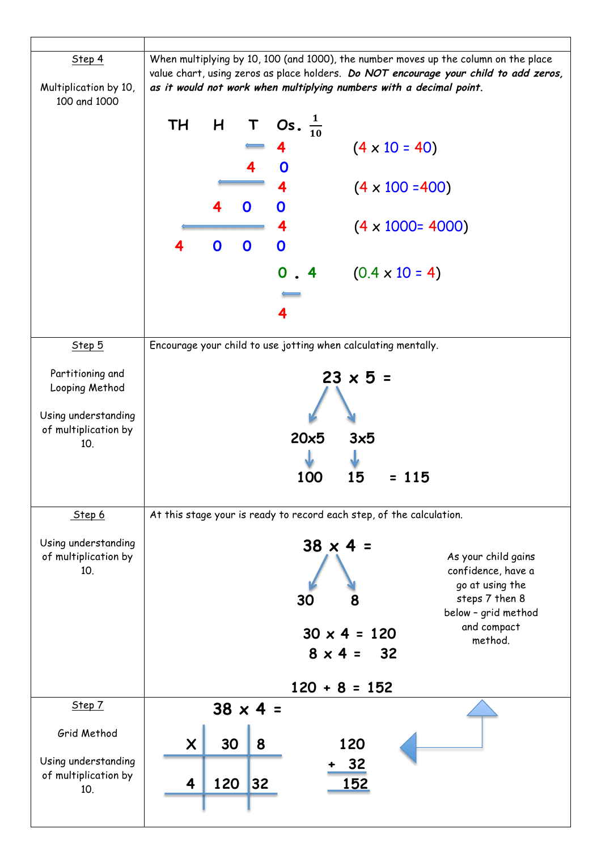| Step 4<br>Multiplication by 10,<br>100 and 1000 |                           | When multiplying by 10, 100 (and 1000), the number moves up the column on the place<br>value chart, using zeros as place holders. Do NOT encourage your child to add zeros,<br>as it would not work when multiplying numbers with a decimal point. |                 |                                                                      |                     |                          |                                   |  |  |
|-------------------------------------------------|---------------------------|----------------------------------------------------------------------------------------------------------------------------------------------------------------------------------------------------------------------------------------------------|-----------------|----------------------------------------------------------------------|---------------------|--------------------------|-----------------------------------|--|--|
|                                                 | <b>TH</b>                 |                                                                                                                                                                                                                                                    |                 | H T Os. $\frac{1}{10}$                                               |                     |                          |                                   |  |  |
|                                                 |                           |                                                                                                                                                                                                                                                    |                 |                                                                      |                     | $(4 \times 10 = 40)$     |                                   |  |  |
|                                                 |                           |                                                                                                                                                                                                                                                    |                 |                                                                      |                     |                          |                                   |  |  |
|                                                 |                           |                                                                                                                                                                                                                                                    |                 | 4                                                                    |                     | $(4 \times 100 = 400)$   |                                   |  |  |
|                                                 |                           |                                                                                                                                                                                                                                                    | 0               | 0                                                                    |                     |                          |                                   |  |  |
|                                                 |                           |                                                                                                                                                                                                                                                    |                 |                                                                      |                     |                          |                                   |  |  |
|                                                 |                           |                                                                                                                                                                                                                                                    |                 |                                                                      |                     | $(4 \times 1000 = 4000)$ |                                   |  |  |
|                                                 |                           | $\mathbf 0$                                                                                                                                                                                                                                        | $\mathbf 0$     | $\mathbf 0$                                                          |                     |                          |                                   |  |  |
|                                                 |                           |                                                                                                                                                                                                                                                    |                 | $\mathbf 0$<br>$\overline{4}$                                        |                     | $(0.4 \times 10 = 4)$    |                                   |  |  |
|                                                 |                           |                                                                                                                                                                                                                                                    |                 |                                                                      |                     |                          |                                   |  |  |
|                                                 |                           |                                                                                                                                                                                                                                                    |                 |                                                                      |                     |                          |                                   |  |  |
| Step 5                                          |                           |                                                                                                                                                                                                                                                    |                 | Encourage your child to use jotting when calculating mentally.       |                     |                          |                                   |  |  |
|                                                 |                           |                                                                                                                                                                                                                                                    |                 |                                                                      |                     |                          |                                   |  |  |
| Partitioning and                                |                           |                                                                                                                                                                                                                                                    |                 |                                                                      | $23 \times 5 =$     |                          |                                   |  |  |
| Looping Method                                  |                           |                                                                                                                                                                                                                                                    |                 |                                                                      |                     |                          |                                   |  |  |
| Using understanding                             |                           |                                                                                                                                                                                                                                                    |                 |                                                                      |                     |                          |                                   |  |  |
| of multiplication by                            |                           |                                                                                                                                                                                                                                                    |                 | $20\times 5$                                                         | 3x5                 |                          |                                   |  |  |
| 10.                                             |                           |                                                                                                                                                                                                                                                    |                 |                                                                      |                     |                          |                                   |  |  |
|                                                 |                           |                                                                                                                                                                                                                                                    |                 | 100                                                                  | 15                  | 115                      |                                   |  |  |
|                                                 |                           |                                                                                                                                                                                                                                                    |                 |                                                                      |                     |                          |                                   |  |  |
| Step 6                                          |                           |                                                                                                                                                                                                                                                    |                 | At this stage your is ready to record each step, of the calculation. |                     |                          |                                   |  |  |
| Using understanding                             |                           |                                                                                                                                                                                                                                                    |                 |                                                                      |                     |                          |                                   |  |  |
| of multiplication by                            |                           |                                                                                                                                                                                                                                                    |                 |                                                                      | $38 \times 4 =$     |                          | As your child gains               |  |  |
| 10.                                             |                           |                                                                                                                                                                                                                                                    |                 |                                                                      |                     |                          | confidence, have a                |  |  |
|                                                 |                           |                                                                                                                                                                                                                                                    |                 | 30                                                                   | 8                   |                          | go at using the<br>steps 7 then 8 |  |  |
|                                                 |                           |                                                                                                                                                                                                                                                    |                 |                                                                      |                     |                          | below - grid method               |  |  |
|                                                 |                           |                                                                                                                                                                                                                                                    |                 |                                                                      | $30 \times 4 = 120$ |                          | and compact<br>method.            |  |  |
|                                                 |                           |                                                                                                                                                                                                                                                    |                 |                                                                      | $8 \times 4 = 32$   |                          |                                   |  |  |
|                                                 |                           |                                                                                                                                                                                                                                                    |                 |                                                                      |                     |                          |                                   |  |  |
|                                                 |                           |                                                                                                                                                                                                                                                    |                 |                                                                      | $120 + 8 = 152$     |                          |                                   |  |  |
| Step 7                                          |                           |                                                                                                                                                                                                                                                    | $38 \times 4 =$ |                                                                      |                     |                          |                                   |  |  |
| Grid Method                                     | $\boldsymbol{\mathsf{X}}$ | 30                                                                                                                                                                                                                                                 | 8               |                                                                      | 120                 |                          |                                   |  |  |
| Using understanding                             |                           |                                                                                                                                                                                                                                                    |                 |                                                                      |                     |                          |                                   |  |  |
| of multiplication by                            |                           |                                                                                                                                                                                                                                                    |                 |                                                                      | 32                  |                          |                                   |  |  |
| 10.                                             | 4                         | 120                                                                                                                                                                                                                                                | 32              |                                                                      | 152                 |                          |                                   |  |  |
|                                                 |                           |                                                                                                                                                                                                                                                    |                 |                                                                      |                     |                          |                                   |  |  |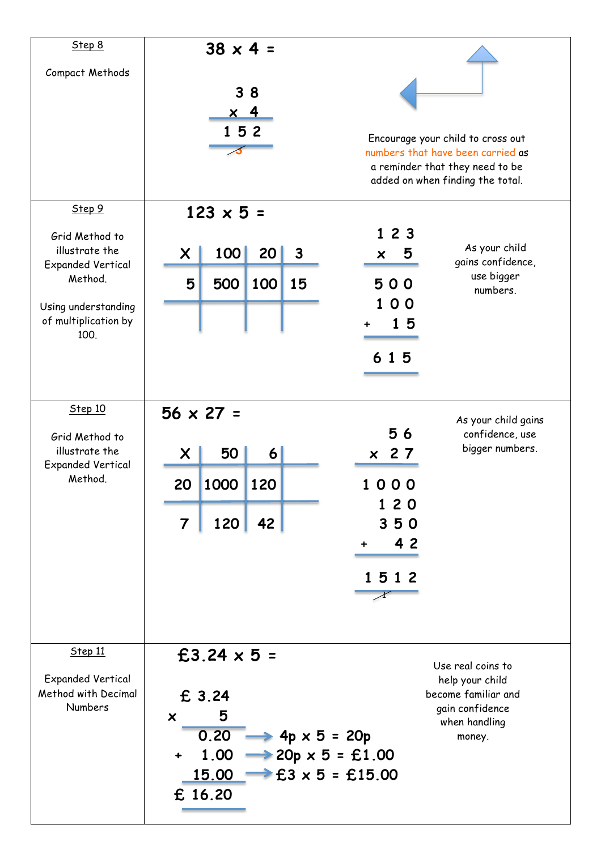| Step 8                                         |                                                   | $38 \times 4 =$  |                                |                                   |  |
|------------------------------------------------|---------------------------------------------------|------------------|--------------------------------|-----------------------------------|--|
| Compact Methods                                |                                                   |                  |                                |                                   |  |
|                                                |                                                   | 38               |                                |                                   |  |
|                                                |                                                   | <u>x 4</u>       |                                |                                   |  |
|                                                |                                                   | 152              |                                | Encourage your child to cross out |  |
|                                                |                                                   |                  |                                | numbers that have been carried as |  |
|                                                |                                                   |                  |                                | a reminder that they need to be   |  |
|                                                |                                                   |                  |                                | added on when finding the total.  |  |
| Step 9                                         | $123 \times 5 =$                                  |                  |                                |                                   |  |
| Grid Method to                                 |                                                   |                  | 123                            |                                   |  |
| illustrate the                                 | 100<br>X.                                         | 20<br>3          | 5<br>$\boldsymbol{\mathsf{x}}$ | As your child                     |  |
| <b>Expanded Vertical</b>                       |                                                   |                  |                                | gains confidence,                 |  |
| Method.                                        | 5<br>500                                          | 100<br>15        | 500                            | use bigger<br>numbers.            |  |
| Using understanding                            |                                                   |                  | 0 <sub>0</sub>                 |                                   |  |
| of multiplication by                           |                                                   |                  | 15<br>٠                        |                                   |  |
| 100.                                           |                                                   |                  |                                |                                   |  |
|                                                |                                                   |                  | 615                            |                                   |  |
|                                                |                                                   |                  |                                |                                   |  |
| Step 10                                        | $56 \times 27 =$                                  |                  |                                |                                   |  |
|                                                |                                                   |                  |                                | As your child gains               |  |
| Grid Method to                                 |                                                   |                  | 56                             | confidence, use                   |  |
| illustrate the<br><b>Expanded Vertical</b>     | 50<br>X                                           | $\boldsymbol{6}$ | x 27                           | bigger numbers.                   |  |
| Method.                                        | 1000<br>20                                        | 120              | 1000                           |                                   |  |
|                                                |                                                   |                  | 120                            |                                   |  |
|                                                | 120<br>$\overline{7}$                             | 42               | 350                            |                                   |  |
|                                                |                                                   |                  | 4 2<br>$\ddot{}$               |                                   |  |
|                                                |                                                   |                  |                                |                                   |  |
|                                                |                                                   |                  | 1512                           |                                   |  |
|                                                |                                                   |                  |                                |                                   |  |
|                                                |                                                   |                  |                                |                                   |  |
|                                                |                                                   |                  |                                |                                   |  |
| Step 11                                        | £3.24 $\times$ 5 =                                |                  |                                | Use real coins to                 |  |
| <b>Expanded Vertical</b>                       |                                                   |                  |                                | help your child                   |  |
| Method with Decimal                            | £ 3.24                                            |                  |                                | become familiar and               |  |
| Numbers                                        | 5<br>$\boldsymbol{\mathsf{x}}$                    |                  |                                | gain confidence                   |  |
|                                                |                                                   |                  |                                | when handling                     |  |
| $0.20 \rightarrow 4p \times 5 = 20p$<br>money. |                                                   |                  |                                |                                   |  |
|                                                | 1.00 $\rightarrow$ 20p x 5 = £1.00<br>$\ddotmark$ |                  |                                |                                   |  |
|                                                | $\rightarrow$ £3 x 5 = £15.00<br><u>15.00  </u>   |                  |                                |                                   |  |
|                                                | £ 16.20                                           |                  |                                |                                   |  |
|                                                |                                                   |                  |                                |                                   |  |